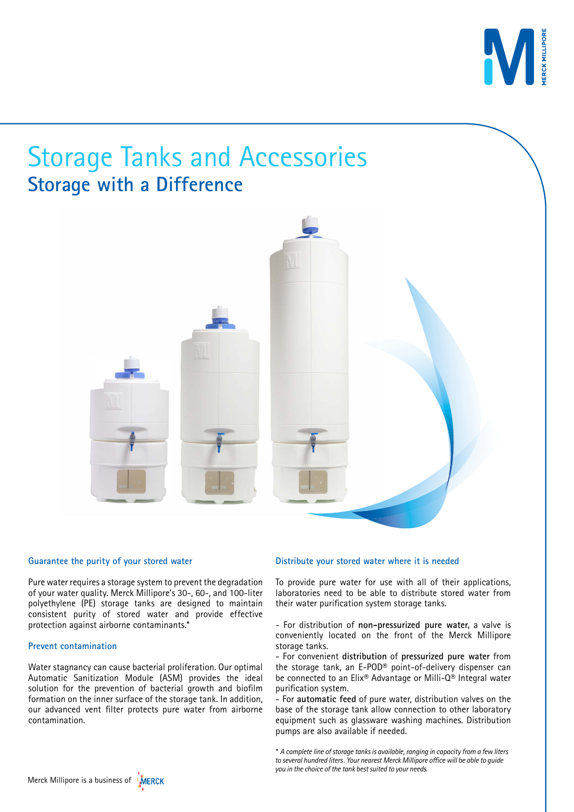

# Storage Tanks and Accessories **Storage with a Difference**



#### **Guarantee the purity of your stored water**

Pure water requires a storage system to prevent the degradation of your water quality. Merck Millipore's 30-, 60-, and 100-liter polyethylene (PE) storage tanks are designed to maintain consistent purity of stored water and provide effective protection against airborne contaminants.\*

#### **Prevent contamination**

Water stagnancy can cause bacterial proliferation. Our optimal Automatic Sanitization Module (ASM) provides the ideal solution for the prevention of bacterial growth and biofilm formation on the inner surface of the storage tank. In addition, our advanced vent filter protects pure water from airborne contamination.

#### **Distribute your stored water where it is needed**

To provide pure water for use with all of their applications, laboratories need to be able to distribute stored water from their water purification system storage tanks.

- For distribution of **non-pressurized pure water,** a valve is conveniently located on the front of the Merck Millipore storage tanks.

- For convenient **distribution** of **pressurized pure water** from the storage tank, an E-POD® point-of-delivery dispenser can be connected to an Elix® Advantage or Milli-Q® Integral water purification system.

- For **automatic feed** of pure water, distribution valves on the base of the storage tank allow connection to other laboratory equipment such as glassware washing machines. Distribution pumps are also available if needed.

*\* A complete line of storage tanks is available, ranging in capacity from a few liters to several hundred liters. Your nearest Merck Millipore office will be able to guide you in the choice of the tank best suited to your needs.*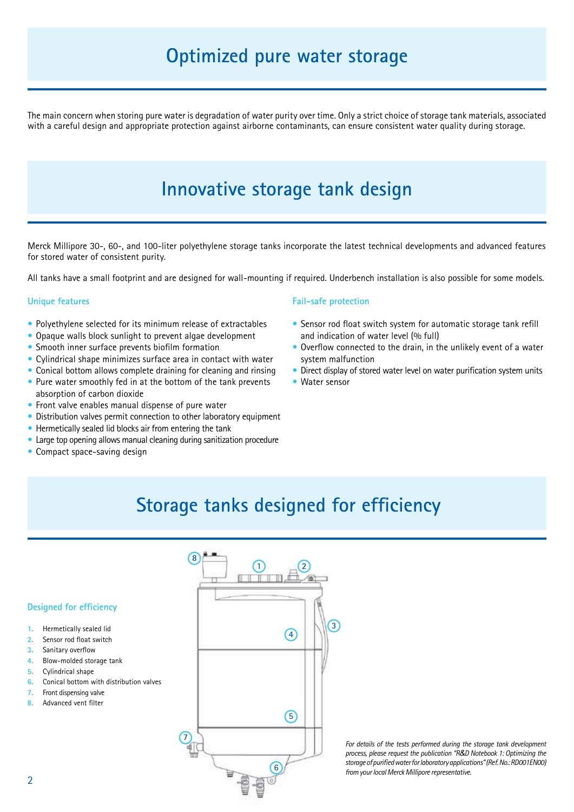## **Optimized pure water storage**

The main concern when storing pure water is degradation of water purity over time. Only a strict choice of storage tank materials, associated with a careful design and appropriate protection against airborne contaminants, can ensure consistent water quality during storage.

## **Innovative storage tank design**

Merck Millipore 30-, 60-, and 100-liter polyethylene storage tanks incorporate the latest technical developments and advanced features for stored water of consistent purity.

All tanks have a small footprint and are designed for wall-mounting if required. Underbench installation is also possible for some models.

#### **Unique features**

- Polyethylene selected for its minimum release of extractables
- Opaque walls block sunlight to prevent algae development
- Smooth inner surface prevents biofilm formation
- Cylindrical shape minimizes surface area in contact with water
- Conical bottom allows complete draining for cleaning and rinsing
- Pure water smoothly fed in at the bottom of the tank prevents absorption of carbon dioxide
- Front valve enables manual dispense of pure water
- Distribution valves permit connection to other laboratory equipment
- Hermetically sealed lid blocks air from entering the tank
- Large top opening allows manual cleaning during sanitization procedure
- Compact space-saving design

#### **Fail-safe protection**

- Sensor rod float switch system for automatic storage tank refill and indication of water level (% full)
- Overflow connected to the drain, in the unlikely event of a water system malfunction
- Direct display of stored water level on water purification system units
- Water sensor

## **Storage tanks designed for efficiency**

#### **Designed for efficiency**

- **1.** Hermetically sealed lid
- **2.** Sensor rod float switch
- **3.** Sanitary overflow
- **4.** Blow-molded storage tank
- **5.** Cylindrical shape
- **6.** Conical bottom with distribution valves
- **7.** Front dispensing valve
- **8.** Advanced vent filter



*For details of the tests performed during the storage tank development process, please request the publication "R&D Notebook 1: Optimizing the storage of purified water for laboratory applications" (Ref. No.: RD001EN00) from your local Merck Millipore representative.*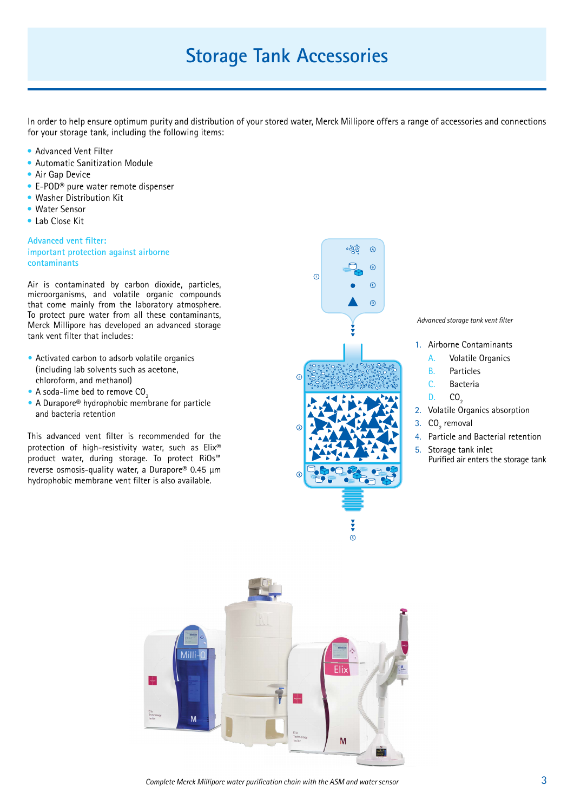## **Storage Tank Accessories**

In order to help ensure optimum purity and distribution of your stored water, Merck Millipore offers a range of accessories and connections for your storage tank, including the following items:

- Advanced Vent Filter
- Automatic Sanitization Module
- Air Gap Device
- E-POD® pure water remote dispenser
- Washer Distribution Kit
- Water Sensor
- Lab Close Kit

**Advanced vent filter: important protection against airborne contaminants**

Air is contaminated by carbon dioxide, particles, microorganisms, and volatile organic compounds that come mainly from the laboratory atmosphere. To protect pure water from all these contaminants, Merck Millipore has developed an advanced storage tank vent filter that includes:

- Activated carbon to adsorb volatile organics (including lab solvents such as acetone, chloroform, and methanol)
- A soda-lime bed to remove CO<sub>2</sub>
- A Durapore<sup>®</sup> hydrophobic membrane for particle and bacteria retention

This advanced vent filter is recommended for the protection of high-resistivity water, such as Elix® product water, during storage. To protect RiOs™ reverse osmosis-quality water, a Durapore® 0.45 µm hydrophobic membrane vent filter is also available.



*Advanced storage tank vent filter*

- 1. Airborne Contaminants
	- A. Volatile Organics
	- B. Particles
	- C. Bacteria
	- $D. CO<sub>2</sub>$
- 2. Volatile Organics absorption
- 3.  $CO<sub>2</sub>$  removal
- 4. Particle and Bacterial retention
- 5. Storage tank inlet Purified air enters the storage tank



*Complete Merck Millipore water purification chain with the ASM and water sensor*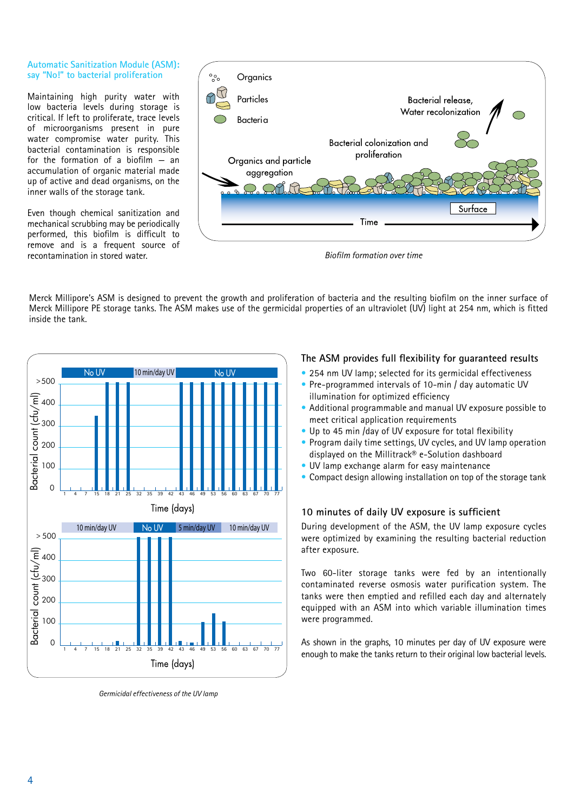#### **Automatic Sanitization Module (ASM): say "No!" to bacterial proliferation**

Maintaining high purity water with low bacteria levels during storage is critical. If left to proliferate, trace levels of microorganisms present in pure water compromise water purity. This bacterial contamination is responsible for the formation of a biofilm — an accumulation of organic material made up of active and dead organisms, on the inner walls of the storage tank.

Even though chemical sanitization and mechanical scrubbing may be periodically performed, this biofilm is difficult to remove and is a frequent source of recontamination in stored water.



*Biofilm formation over time*

Merck Millipore's ASM is designed to prevent the growth and proliferation of bacteria and the resulting biofilm on the inner surface of Merck Millipore PE storage tanks. The ASM makes use of the germicidal properties of an ultraviolet (UV) light at 254 nm, which is fitted inside the tank.



*Germicidal effectiveness of the UV lamp*

### **The ASM provides full flexibility for guaranteed results**

- 254 nm UV lamp; selected for its germicidal effectiveness
- Pre-programmed intervals of 10-min / day automatic UV illumination for optimized efficiency
- Additional programmable and manual UV exposure possible to meet critical application requirements
- Up to 45 min /day of UV exposure for total flexibility
- Program daily time settings, UV cycles, and UV lamp operation displayed on the Millitrack® e-Solution dashboard
- UV lamp exchange alarm for easy maintenance
- Compact design allowing installation on top of the storage tank

### **10 minutes of daily UV exposure is sufficient**

During development of the ASM, the UV lamp exposure cycles were optimized by examining the resulting bacterial reduction after exposure.

Two 60-liter storage tanks were fed by an intentionally contaminated reverse osmosis water purification system. The tanks were then emptied and refilled each day and alternately equipped with an ASM into which variable illumination times were programmed.

As shown in the graphs, 10 minutes per day of UV exposure were enough to make the tanks return to their original low bacterial levels.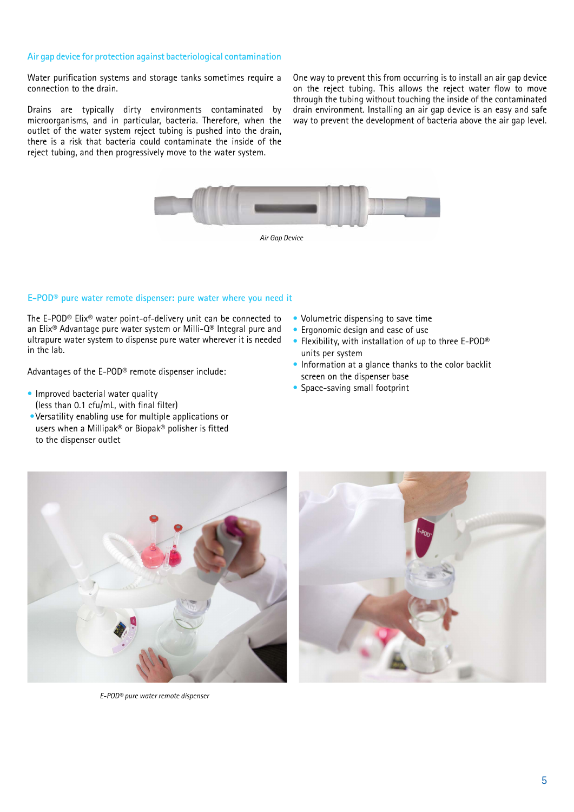#### **Air gap device for protection against bacteriological contamination**

Water purification systems and storage tanks sometimes require a connection to the drain.

Drains are typically dirty environments contaminated by microorganisms, and in particular, bacteria. Therefore, when the outlet of the water system reject tubing is pushed into the drain, there is a risk that bacteria could contaminate the inside of the reject tubing, and then progressively move to the water system.

One way to prevent this from occurring is to install an air gap device on the reject tubing. This allows the reject water flow to move through the tubing without touching the inside of the contaminated drain environment. Installing an air gap device is an easy and safe way to prevent the development of bacteria above the air gap level.



#### **E-POD® pure water remote dispenser: pure water where you need it**

The E-POD® Elix® water point-of-delivery unit can be connected to an Elix® Advantage pure water system or Milli-Q® Integral pure and ultrapure water system to dispense pure water wherever it is needed in the lab.

Advantages of the E-POD® remote dispenser include:

- Improved bacterial water quality (less than 0.1 cfu/mL, with final filter)
- •Versatility enabling use for multiple applications or users when a Millipak® or Biopak® polisher is fitted to the dispenser outlet
- Volumetric dispensing to save time
- Ergonomic design and ease of use
- Flexibility, with installation of up to three E-POD® units per system
- Information at a glance thanks to the color backlit screen on the dispenser base
- Space-saving small footprint



*E-POD® pure water remote dispenser*

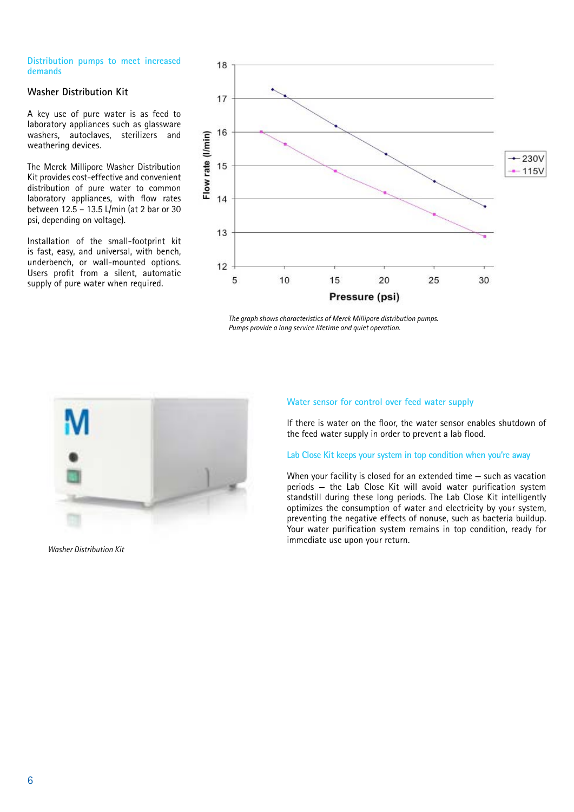#### **Distribution pumps to meet increased demands**

#### **Washer Distribution Kit**

A key use of pure water is as feed to laboratory appliances such as glassware washers, autoclaves, sterilizers and weathering devices.

The Merck Millipore Washer Distribution Kit provides cost-effective and convenient distribution of pure water to common laboratory appliances, with flow rates between 12.5 – 13.5 L/min (at 2 bar or 30 psi, depending on voltage).

Installation of the small-footprint kit is fast, easy, and universal, with bench, underbench, or wall-mounted options. Users profit from a silent, automatic supply of pure water when required.



*The graph shows characteristics of Merck Millipore distribution pumps. Pumps provide a long service lifetime and quiet operation.*



*Washer Distribution Kit* 

#### **Water sensor for control over feed water supply**

If there is water on the floor, the water sensor enables shutdown of the feed water supply in order to prevent a lab flood.

#### **Lab Close Kit keeps your system in top condition when you're away**

When your facility is closed for an extended time — such as vacation periods — the Lab Close Kit will avoid water purification system standstill during these long periods. The Lab Close Kit intelligently optimizes the consumption of water and electricity by your system, preventing the negative effects of nonuse, such as bacteria buildup. Your water purification system remains in top condition, ready for immediate use upon your return.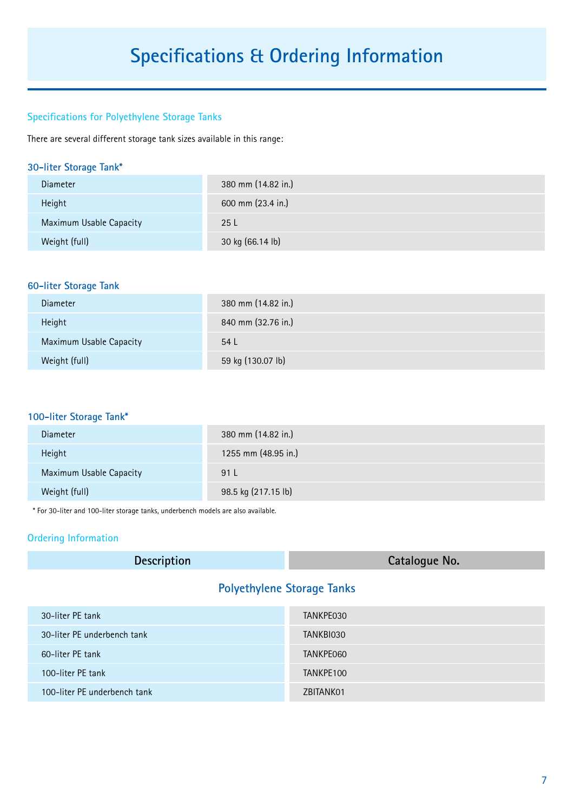## **Specifications & Ordering Information**

## **Specifications for Polyethylene Storage Tanks**

There are several different storage tank sizes available in this range:

## **30-liter Storage Tank\***

| <b>Diameter</b>         | 380 mm (14.82 in.) |
|-------------------------|--------------------|
| Height                  | 600 mm (23.4 in.)  |
| Maximum Usable Capacity | 25 L               |
| Weight (full)           | 30 kg (66.14 lb)   |

## **60-liter Storage Tank**

| Diameter                | 380 mm (14.82 in.) |
|-------------------------|--------------------|
| Height                  | 840 mm (32.76 in.) |
| Maximum Usable Capacity | 54 L               |
| Weight (full)           | 59 kg (130.07 lb)  |

### **100-liter Storage Tank\***

| Diameter                | 380 mm (14.82 in.)  |
|-------------------------|---------------------|
| Height                  | 1255 mm (48.95 in.) |
| Maximum Usable Capacity | 91 L                |
| Weight (full)           | 98.5 kg (217.15 lb) |

\* For 30-liter and 100-liter storage tanks, underbench models are also available.

## **Ordering Information**

| <b>Description</b>                | Catalogue No. |
|-----------------------------------|---------------|
| <b>Polyethylene Storage Tanks</b> |               |

| 30-liter PE tank             | TANKPE030 |
|------------------------------|-----------|
| 30-liter PE underbench tank  | TANKBI030 |
| 60-liter PE tank             | TANKPE060 |
| 100-liter PE tank            | TANKPE100 |
| 100-liter PE underbench tank | ZBITANK01 |